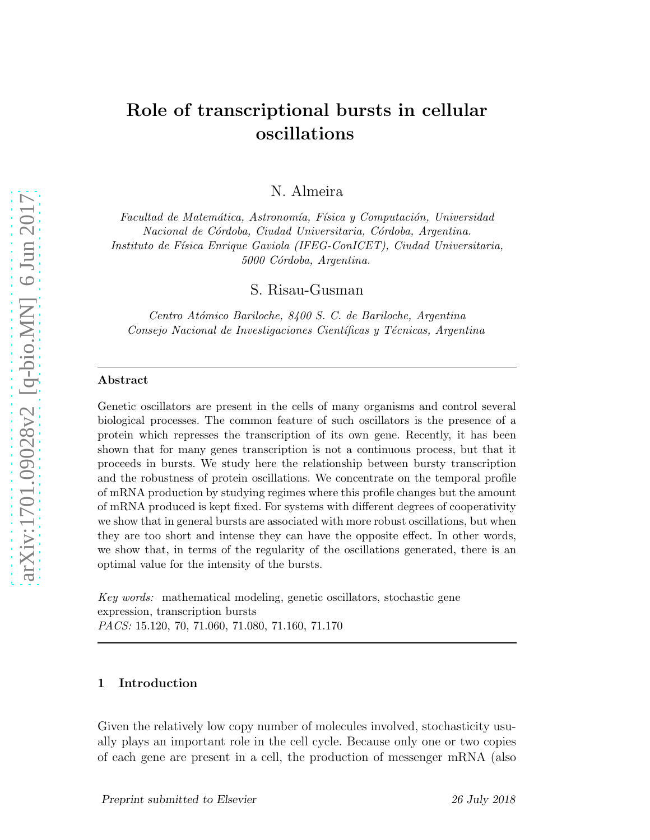## Role of transcriptional bursts in cellular oscillations

N. Almeira

*Facultad de Matemática, Astronomía, Física y Computación, Universidad Nacional de C´ordoba, Ciudad Universitaria, C´ordoba, Argentina. Instituto de F´ısica Enrique Gaviola (IFEG-ConICET), Ciudad Universitaria, 5000 C´ordoba, Argentina.*

S. Risau-Gusman

*Centro At´omico Bariloche, 8400 S. C. de Bariloche, Argentina Consejo Nacional de Investigaciones Cient´ıficas y T´ecnicas, Argentina*

#### Abstract

Genetic oscillators are present in the cells of many organisms and control several biological processes. The common feature of such oscillators is the presence of a protein which represses the transcription of its own gene. Recently, it has been shown that for many genes transcription is not a continuous process, but that it proceeds in bursts. We study here the relationship between bursty transcription and the robustness of protein oscillations. We concentrate on the temporal profile of mRNA production by studying regimes where this profile changes but the amount of mRNA produced is kept fixed. For systems with different degrees of cooperativity we show that in general bursts are associated with more robust oscillations, but when they are too short and intense they can have the opposite effect. In other words, we show that, in terms of the regularity of the oscillations generated, there is an optimal value for the intensity of the bursts.

*Key words:* mathematical modeling, genetic oscillators, stochastic gene expression, transcription bursts *PACS:* 15.120, 70, 71.060, 71.080, 71.160, 71.170

#### 1 Introduction

Given the relatively low copy number of molecules involved, stochasticity usually plays an important role in the cell cycle. Because only one or two copies of each gene are present in a cell, the production of messenger mRNA (also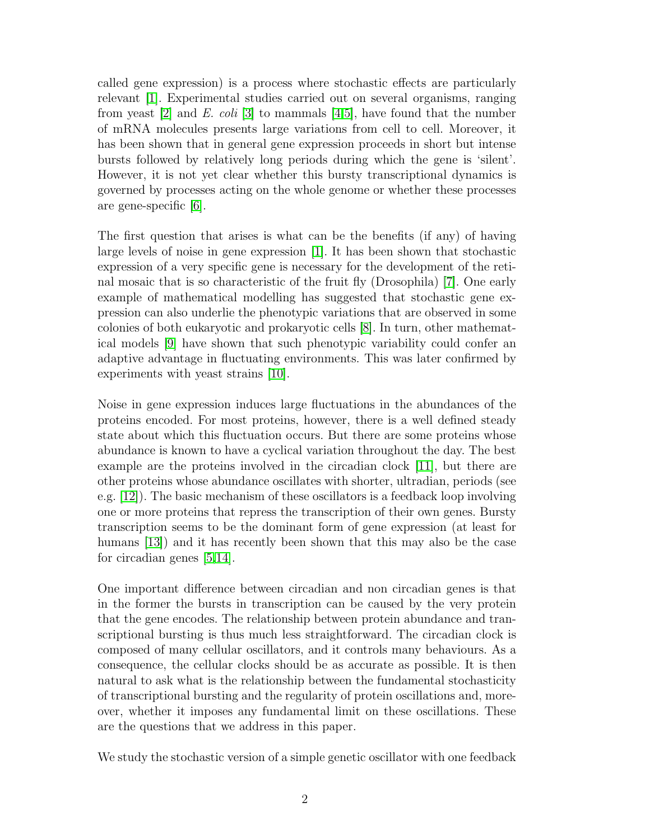called gene expression) is a process where stochastic effects are particularly relevant [\[1\]](#page-18-0). Experimental studies carried out on several organisms, ranging from yeast [\[2\]](#page-18-1) and E. coli [\[3\]](#page-18-2) to mammals [\[4](#page-18-3)[,5\]](#page-18-4), have found that the number of mRNA molecules presents large variations from cell to cell. Moreover, it has been shown that in general gene expression proceeds in short but intense bursts followed by relatively long periods during which the gene is 'silent'. However, it is not yet clear whether this bursty transcriptional dynamics is governed by processes acting on the whole genome or whether these processes are gene-specific [\[6\]](#page-18-5).

The first question that arises is what can be the benefits (if any) of having large levels of noise in gene expression [\[1\]](#page-18-0). It has been shown that stochastic expression of a very specific gene is necessary for the development of the retinal mosaic that is so characteristic of the fruit fly (Drosophila) [\[7\]](#page-18-6). One early example of mathematical modelling has suggested that stochastic gene expression can also underlie the phenotypic variations that are observed in some colonies of both eukaryotic and prokaryotic cells [\[8\]](#page-18-7). In turn, other mathematical models [\[9\]](#page-18-8) have shown that such phenotypic variability could confer an adaptive advantage in fluctuating environments. This was later confirmed by experiments with yeast strains [\[10\]](#page-18-9).

Noise in gene expression induces large fluctuations in the abundances of the proteins encoded. For most proteins, however, there is a well defined steady state about which this fluctuation occurs. But there are some proteins whose abundance is known to have a cyclical variation throughout the day. The best example are the proteins involved in the circadian clock [\[11\]](#page-18-10), but there are other proteins whose abundance oscillates with shorter, ultradian, periods (see e.g. [\[12\]](#page-18-11)). The basic mechanism of these oscillators is a feedback loop involving one or more proteins that repress the transcription of their own genes. Bursty transcription seems to be the dominant form of gene expression (at least for humans [\[13\]](#page-18-12)) and it has recently been shown that this may also be the case for circadian genes [\[5,](#page-18-4)[14\]](#page-18-13).

One important difference between circadian and non circadian genes is that in the former the bursts in transcription can be caused by the very protein that the gene encodes. The relationship between protein abundance and transcriptional bursting is thus much less straightforward. The circadian clock is composed of many cellular oscillators, and it controls many behaviours. As a consequence, the cellular clocks should be as accurate as possible. It is then natural to ask what is the relationship between the fundamental stochasticity of transcriptional bursting and the regularity of protein oscillations and, moreover, whether it imposes any fundamental limit on these oscillations. These are the questions that we address in this paper.

We study the stochastic version of a simple genetic oscillator with one feedback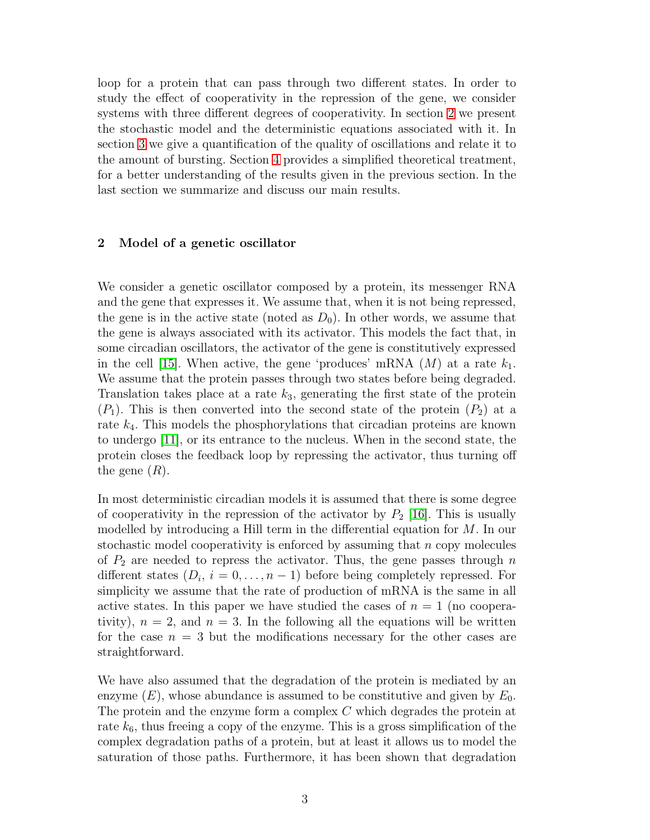loop for a protein that can pass through two different states. In order to study the effect of cooperativity in the repression of the gene, we consider systems with three different degrees of cooperativity. In section [2](#page-22-0) we present the stochastic model and the deterministic equations associated with it. In section [3](#page-5-0) we give a quantification of the quality of oscillations and relate it to the amount of bursting. Section [4](#page-10-0) provides a simplified theoretical treatment, for a better understanding of the results given in the previous section. In the last section we summarize and discuss our main results.

#### 2 Model of a genetic oscillator

We consider a genetic oscillator composed by a protein, its messenger RNA and the gene that expresses it. We assume that, when it is not being repressed, the gene is in the active state (noted as  $D_0$ ). In other words, we assume that the gene is always associated with its activator. This models the fact that, in some circadian oscillators, the activator of the gene is constitutively expressed in the cell [\[15\]](#page-19-0). When active, the gene 'produces' mRNA  $(M)$  at a rate  $k_1$ . We assume that the protein passes through two states before being degraded. Translation takes place at a rate  $k_3$ , generating the first state of the protein  $(P_1)$ . This is then converted into the second state of the protein  $(P_2)$  at a rate  $k_4$ . This models the phosphorylations that circadian proteins are known to undergo [\[11\]](#page-18-10), or its entrance to the nucleus. When in the second state, the protein closes the feedback loop by repressing the activator, thus turning off the gene  $(R)$ .

In most deterministic circadian models it is assumed that there is some degree of cooperativity in the repression of the activator by  $P_2$  [\[16\]](#page-19-1). This is usually modelled by introducing a Hill term in the differential equation for M. In our stochastic model cooperativity is enforced by assuming that n copy molecules of  $P_2$  are needed to repress the activator. Thus, the gene passes through n different states  $(D_i, i = 0, \ldots, n-1)$  before being completely repressed. For simplicity we assume that the rate of production of mRNA is the same in all active states. In this paper we have studied the cases of  $n = 1$  (no cooperativity),  $n = 2$ , and  $n = 3$ . In the following all the equations will be written for the case  $n = 3$  but the modifications necessary for the other cases are straightforward.

We have also assumed that the degradation of the protein is mediated by an enzyme  $(E)$ , whose abundance is assumed to be constitutive and given by  $E_0$ . The protein and the enzyme form a complex C which degrades the protein at rate  $k<sub>6</sub>$ , thus freeing a copy of the enzyme. This is a gross simplification of the complex degradation paths of a protein, but at least it allows us to model the saturation of those paths. Furthermore, it has been shown that degradation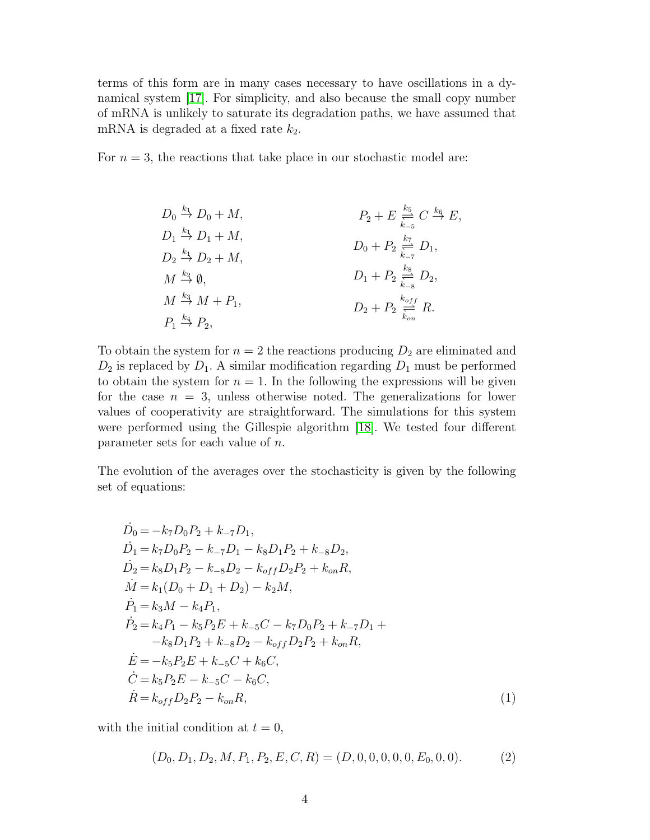terms of this form are in many cases necessary to have oscillations in a dynamical system [\[17\]](#page-19-2). For simplicity, and also because the small copy number of mRNA is unlikely to saturate its degradation paths, we have assumed that mRNA is degraded at a fixed rate  $k_2$ .

For  $n = 3$ , the reactions that take place in our stochastic model are:

$$
D_0 \stackrel{k_1}{\rightarrow} D_0 + M,
$$
  
\n
$$
D_1 \stackrel{k_1}{\rightarrow} D_1 + M,
$$
  
\n
$$
D_2 \stackrel{k_1}{\rightarrow} D_2 + M,
$$
  
\n
$$
D_0 + P_2 \stackrel{k_7}{\underset{k_{-7}}{\rightleftharpoons}} D_1,
$$
  
\n
$$
M \stackrel{k_2}{\rightarrow} \emptyset,
$$
  
\n
$$
M \stackrel{k_3}{\rightarrow} M + P_1,
$$
  
\n
$$
D_1 + P_2 \stackrel{k_8}{\underset{k_{-8}}{\rightleftharpoons}} D_2,
$$
  
\n
$$
D_2 + P_2 \stackrel{k_6 f f}{\underset{k_{-8}}{\rightleftharpoons}} R.
$$

To obtain the system for  $n = 2$  the reactions producing  $D_2$  are eliminated and  $D_2$  is replaced by  $D_1$ . A similar modification regarding  $D_1$  must be performed to obtain the system for  $n = 1$ . In the following the expressions will be given for the case  $n = 3$ , unless otherwise noted. The generalizations for lower values of cooperativity are straightforward. The simulations for this system were performed using the Gillespie algorithm [\[18\]](#page-19-3). We tested four different parameter sets for each value of n.

The evolution of the averages over the stochasticity is given by the following set of equations:

<span id="page-3-0"></span>
$$
\begin{aligned}\n\dot{D}_0 &= -k_7 D_0 P_2 + k_{-7} D_1, \\
\dot{D}_1 &= k_7 D_0 P_2 - k_{-7} D_1 - k_8 D_1 P_2 + k_{-8} D_2, \\
\dot{D}_2 &= k_8 D_1 P_2 - k_{-8} D_2 - k_{off} D_2 P_2 + k_{on} R, \\
\dot{M} &= k_1 (D_0 + D_1 + D_2) - k_2 M, \\
\dot{P}_1 &= k_3 M - k_4 P_1, \\
\dot{P}_2 &= k_4 P_1 - k_5 P_2 E + k_{-5} C - k_7 D_0 P_2 + k_{-7} D_1 + \\
&- k_8 D_1 P_2 + k_{-8} D_2 - k_{off} D_2 P_2 + k_{on} R, \\
\dot{E} &= -k_5 P_2 E + k_{-5} C + k_6 C, \\
\dot{C} &= k_5 P_2 E - k_{-5} C - k_6 C, \\
\dot{R} &= k_{off} D_2 P_2 - k_{on} R,\n\end{aligned} \tag{1}
$$

with the initial condition at  $t = 0$ ,

$$
(D_0, D_1, D_2, M, P_1, P_2, E, C, R) = (D, 0, 0, 0, 0, 0, E_0, 0, 0). \tag{2}
$$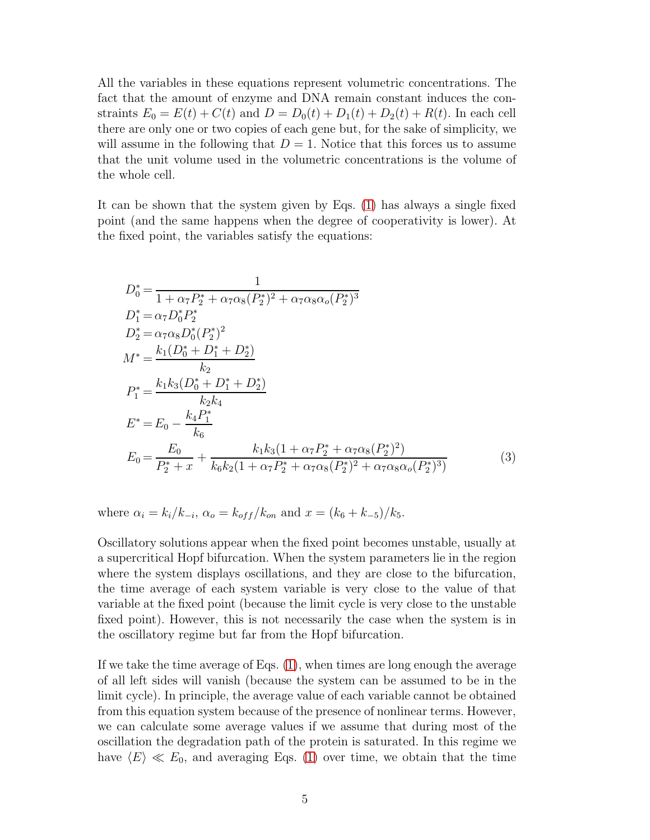All the variables in these equations represent volumetric concentrations. The fact that the amount of enzyme and DNA remain constant induces the constraints  $E_0 = E(t) + C(t)$  and  $D = D_0(t) + D_1(t) + D_2(t) + R(t)$ . In each cell there are only one or two copies of each gene but, for the sake of simplicity, we will assume in the following that  $D = 1$ . Notice that this forces us to assume that the unit volume used in the volumetric concentrations is the volume of the whole cell.

It can be shown that the system given by Eqs. [\(1\)](#page-3-0) has always a single fixed point (and the same happens when the degree of cooperativity is lower). At the fixed point, the variables satisfy the equations:

<span id="page-4-0"></span>
$$
D_0^* = \frac{1}{1 + \alpha_7 P_2^* + \alpha_7 \alpha_8 (P_2^*)^2 + \alpha_7 \alpha_8 \alpha_0 (P_2^*)^3}
$$
  
\n
$$
D_1^* = \alpha_7 D_0^* P_2^*
$$
  
\n
$$
D_2^* = \alpha_7 \alpha_8 D_0^* (P_2^*)^2
$$
  
\n
$$
M^* = \frac{k_1 (D_0^* + D_1^* + D_2^*)}{k_2}
$$
  
\n
$$
P_1^* = \frac{k_1 k_3 (D_0^* + D_1^* + D_2^*)}{k_2 k_4}
$$
  
\n
$$
E^* = E_0 - \frac{k_4 P_1^*}{k_6}
$$
  
\n
$$
E_0 = \frac{E_0}{P_2^* + x} + \frac{k_1 k_3 (1 + \alpha_7 P_2^* + \alpha_7 \alpha_8 (P_2^*)^2)}{k_6 k_2 (1 + \alpha_7 P_2^* + \alpha_7 \alpha_8 (P_2^*)^2 + \alpha_7 \alpha_8 \alpha_0 (P_2^*)^3)}
$$
(3)

where  $\alpha_i = k_i / k_{-i}, \ \alpha_o = k_{off} / k_{on}$  and  $x = (k_6 + k_{-5}) / k_5$ .

Oscillatory solutions appear when the fixed point becomes unstable, usually at a supercritical Hopf bifurcation. When the system parameters lie in the region where the system displays oscillations, and they are close to the bifurcation, the time average of each system variable is very close to the value of that variable at the fixed point (because the limit cycle is very close to the unstable fixed point). However, this is not necessarily the case when the system is in the oscillatory regime but far from the Hopf bifurcation.

If we take the time average of Eqs. [\(1\)](#page-3-0), when times are long enough the average of all left sides will vanish (because the system can be assumed to be in the limit cycle). In principle, the average value of each variable cannot be obtained from this equation system because of the presence of nonlinear terms. However, we can calculate some average values if we assume that during most of the oscillation the degradation path of the protein is saturated. In this regime we have  $\langle E \rangle \ll E_0$ , and averaging Eqs. [\(1\)](#page-3-0) over time, we obtain that the time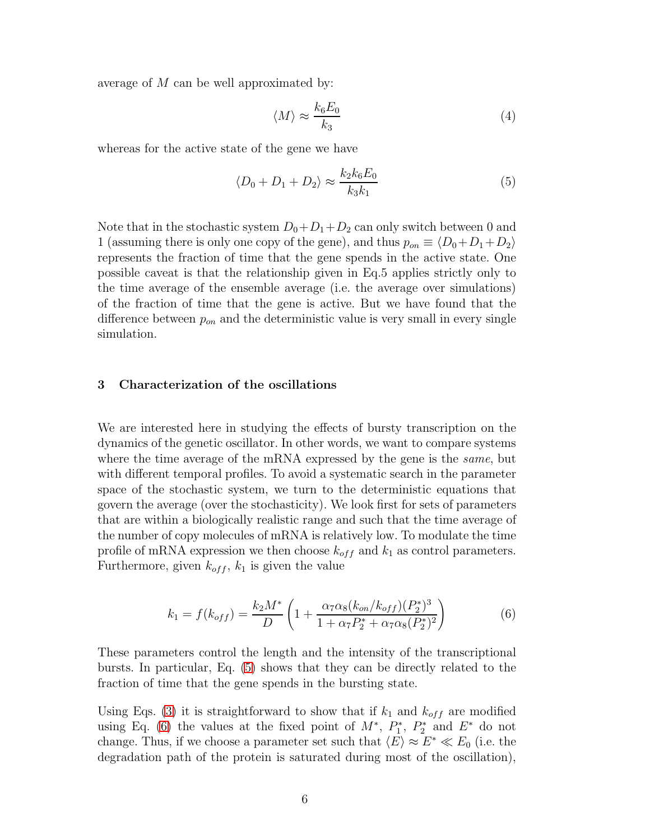average of M can be well approximated by:

$$
\langle M \rangle \approx \frac{k_6 E_0}{k_3} \tag{4}
$$

whereas for the active state of the gene we have

<span id="page-5-1"></span>
$$
\langle D_0 + D_1 + D_2 \rangle \approx \frac{k_2 k_6 E_0}{k_3 k_1} \tag{5}
$$

Note that in the stochastic system  $D_0+D_1+D_2$  can only switch between 0 and 1 (assuming there is only one copy of the gene), and thus  $p_{on} \equiv \langle D_0 + D_1 + D_2 \rangle$ represents the fraction of time that the gene spends in the active state. One possible caveat is that the relationship given in Eq.5 applies strictly only to the time average of the ensemble average (i.e. the average over simulations) of the fraction of time that the gene is active. But we have found that the difference between  $p_{on}$  and the deterministic value is very small in every single simulation.

## <span id="page-5-0"></span>3 Characterization of the oscillations

We are interested here in studying the effects of bursty transcription on the dynamics of the genetic oscillator. In other words, we want to compare systems where the time average of the mRNA expressed by the gene is the *same*, but with different temporal profiles. To avoid a systematic search in the parameter space of the stochastic system, we turn to the deterministic equations that govern the average (over the stochasticity). We look first for sets of parameters that are within a biologically realistic range and such that the time average of the number of copy molecules of mRNA is relatively low. To modulate the time profile of mRNA expression we then choose  $k_{off}$  and  $k_1$  as control parameters. Furthermore, given  $k_{off}$ ,  $k_1$  is given the value

<span id="page-5-2"></span>
$$
k_1 = f(k_{off}) = \frac{k_2 M^*}{D} \left( 1 + \frac{\alpha_7 \alpha_8 (k_{on}/k_{off})(P_2^*)^3}{1 + \alpha_7 P_2^* + \alpha_7 \alpha_8 (P_2^*)^2} \right)
$$
(6)

These parameters control the length and the intensity of the transcriptional bursts. In particular, Eq. [\(5\)](#page-5-1) shows that they can be directly related to the fraction of time that the gene spends in the bursting state.

Using Eqs. [\(3\)](#page-4-0) it is straightforward to show that if  $k_1$  and  $k_{off}$  are modified using Eq. [\(6\)](#page-5-2) the values at the fixed point of  $M^*$ ,  $P_1^*$  $P_1^*, P_2^*$  $E^*$  do not change. Thus, if we choose a parameter set such that  $\langle E \rangle \approx E^* \ll E_0$  (i.e. the degradation path of the protein is saturated during most of the oscillation),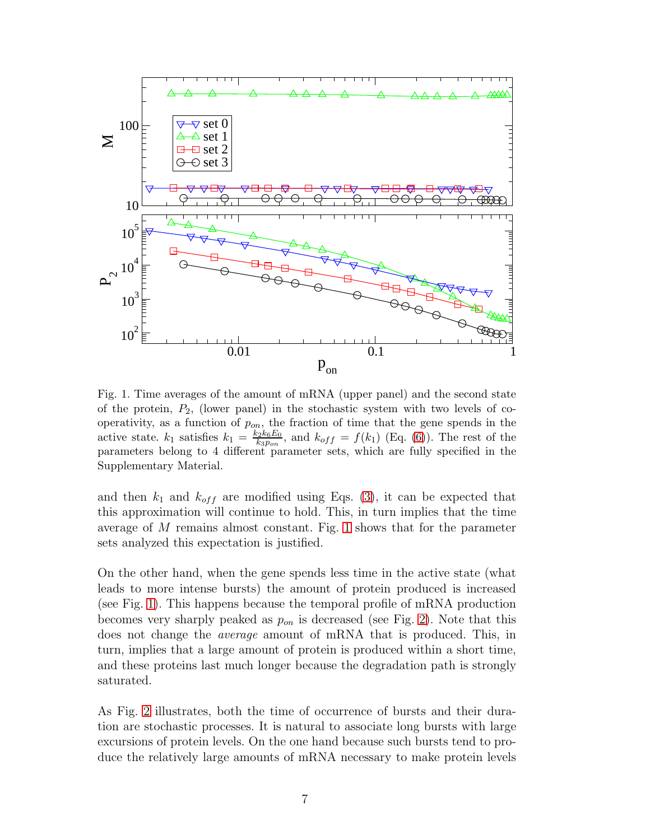

<span id="page-6-0"></span>Fig. 1. Time averages of the amount of mRNA (upper panel) and the second state of the protein,  $P_2$ , (lower panel) in the stochastic system with two levels of cooperativity, as a function of  $p_{on}$ , the fraction of time that the gene spends in the active state.  $k_1$  satisfies  $k_1 = \frac{k_2k_6E_0}{k_2E_0}$  $\frac{k_2 k_6 E_0}{k_3 p_{on}}$ , and  $k_{off} = f(k_1)$  (Eq. [\(6\)](#page-5-2)). The rest of the parameters belong to 4 different parameter sets, which are fully specified in the Supplementary Material.

and then  $k_1$  and  $k_{off}$  are modified using Eqs. [\(3\)](#page-4-0), it can be expected that this approximation will continue to hold. This, in turn implies that the time average of M remains almost constant. Fig. [1](#page-6-0) shows that for the parameter sets analyzed this expectation is justified.

On the other hand, when the gene spends less time in the active state (what leads to more intense bursts) the amount of protein produced is increased (see Fig. [1\)](#page-6-0). This happens because the temporal profile of mRNA production becomes very sharply peaked as  $p_{on}$  is decreased (see Fig. [2\)](#page-7-0). Note that this does not change the average amount of mRNA that is produced. This, in turn, implies that a large amount of protein is produced within a short time, and these proteins last much longer because the degradation path is strongly saturated.

As Fig. [2](#page-7-0) illustrates, both the time of occurrence of bursts and their duration are stochastic processes. It is natural to associate long bursts with large excursions of protein levels. On the one hand because such bursts tend to produce the relatively large amounts of mRNA necessary to make protein levels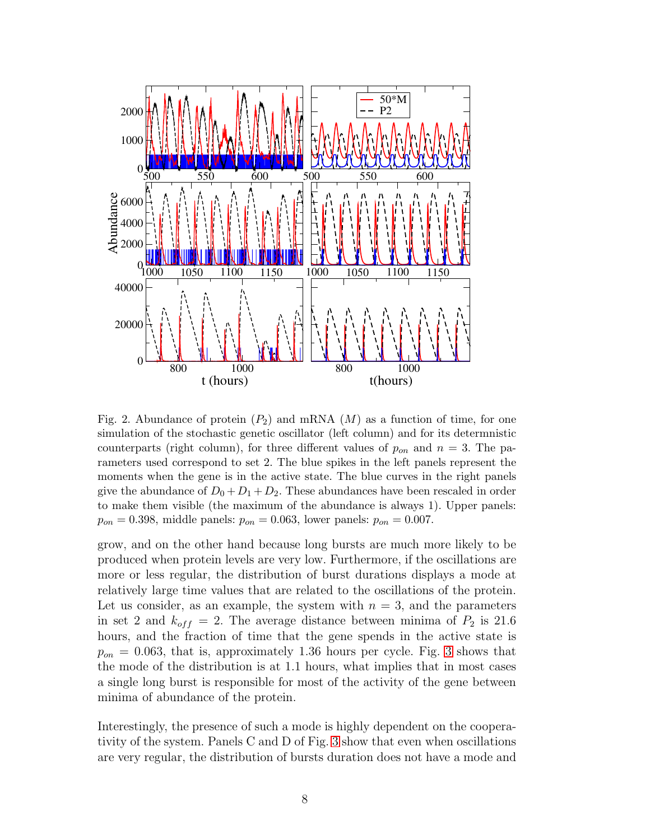

<span id="page-7-0"></span>Fig. 2. Abundance of protein  $(P_2)$  and mRNA  $(M)$  as a function of time, for one simulation of the stochastic genetic oscillator (left column) and for its determnistic counterparts (right column), for three different values of  $p_{on}$  and  $n = 3$ . The parameters used correspond to set 2. The blue spikes in the left panels represent the moments when the gene is in the active state. The blue curves in the right panels give the abundance of  $D_0 + D_1 + D_2$ . These abundances have been rescaled in order to make them visible (the maximum of the abundance is always 1). Upper panels:  $p_{on} = 0.398$ , middle panels:  $p_{on} = 0.063$ , lower panels:  $p_{on} = 0.007$ .

grow, and on the other hand because long bursts are much more likely to be produced when protein levels are very low. Furthermore, if the oscillations are more or less regular, the distribution of burst durations displays a mode at relatively large time values that are related to the oscillations of the protein. Let us consider, as an example, the system with  $n = 3$ , and the parameters in set 2 and  $k_{off} = 2$ . The average distance between minima of  $P_2$  is 21.6 hours, and the fraction of time that the gene spends in the active state is  $p_{on} = 0.063$ , that is, approximately 1.36 hours per cycle. Fig. [3](#page-8-0) shows that the mode of the distribution is at 1.1 hours, what implies that in most cases a single long burst is responsible for most of the activity of the gene between minima of abundance of the protein.

Interestingly, the presence of such a mode is highly dependent on the cooperativity of the system. Panels C and D of Fig. [3](#page-8-0) show that even when oscillations are very regular, the distribution of bursts duration does not have a mode and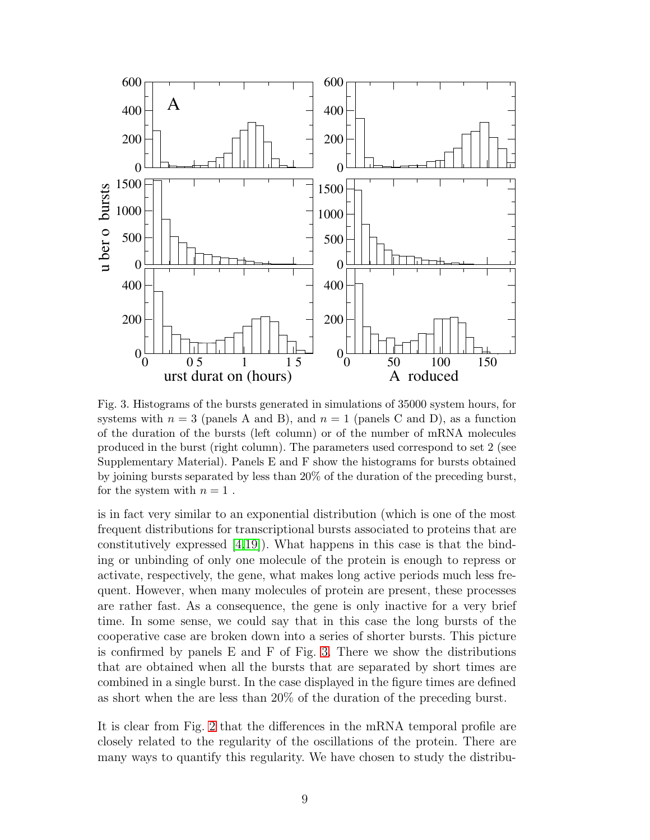

<span id="page-8-0"></span>Fig. 3. Histograms of the bursts generated in simulations of 35000 system hours, for systems with  $n = 3$  (panels A and B), and  $n = 1$  (panels C and D), as a function of the duration of the bursts (left column) or of the number of mRNA molecules produced in the burst (right column). The parameters used correspond to set 2 (see Supplementary Material). Panels E and F show the histograms for bursts obtained by joining bursts separated by less than 20% of the duration of the preceding burst, for the system with  $n = 1$ .

is in fact very similar to an exponential distribution (which is one of the most frequent distributions for transcriptional bursts associated to proteins that are constitutively expressed  $[4,19]$  $[4,19]$ . What happens in this case is that the binding or unbinding of only one molecule of the protein is enough to repress or activate, respectively, the gene, what makes long active periods much less frequent. However, when many molecules of protein are present, these processes are rather fast. As a consequence, the gene is only inactive for a very brief time. In some sense, we could say that in this case the long bursts of the cooperative case are broken down into a series of shorter bursts. This picture is confirmed by panels E and F of Fig. [3.](#page-8-0) There we show the distributions that are obtained when all the bursts that are separated by short times are combined in a single burst. In the case displayed in the figure times are defined as short when the are less than 20% of the duration of the preceding burst.

It is clear from Fig. [2](#page-7-0) that the differences in the mRNA temporal profile are closely related to the regularity of the oscillations of the protein. There are many ways to quantify this regularity. We have chosen to study the distribu-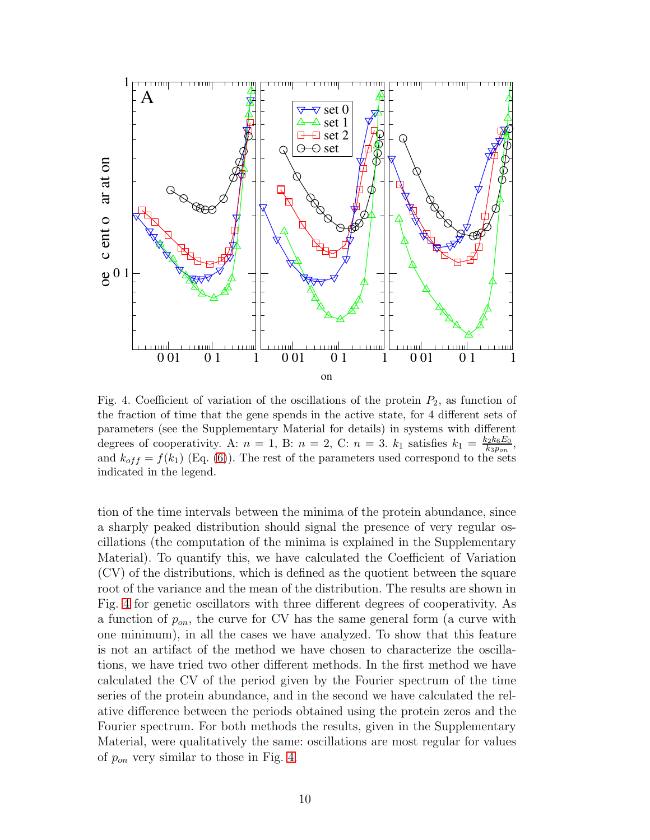

<span id="page-9-0"></span>Fig. 4. Coefficient of variation of the oscillations of the protein  $P_2$ , as function of the fraction of time that the gene spends in the active state, for 4 different sets of parameters (see the Supplementary Material for details) in systems with different degrees of cooperativity. A:  $n = 1$ , B:  $n = 2$ , C:  $n = 3$ .  $k_1$  satisfies  $k_1 = \frac{k_2 k_6 E_0}{k_2 n_{\text{max}}}$  $\frac{k_2k_6E_0}{k_3p_{on}},$ and  $k_{off} = f(k_1)$  (Eq. [\(6\)](#page-5-2)). The rest of the parameters used correspond to the sets indicated in the legend.

tion of the time intervals between the minima of the protein abundance, since a sharply peaked distribution should signal the presence of very regular oscillations (the computation of the minima is explained in the Supplementary Material). To quantify this, we have calculated the Coefficient of Variation (CV) of the distributions, which is defined as the quotient between the square root of the variance and the mean of the distribution. The results are shown in Fig. [4](#page-9-0) for genetic oscillators with three different degrees of cooperativity. As a function of  $p_{on}$ , the curve for CV has the same general form (a curve with one minimum), in all the cases we have analyzed. To show that this feature is not an artifact of the method we have chosen to characterize the oscillations, we have tried two other different methods. In the first method we have calculated the CV of the period given by the Fourier spectrum of the time series of the protein abundance, and in the second we have calculated the relative difference between the periods obtained using the protein zeros and the Fourier spectrum. For both methods the results, given in the Supplementary Material, were qualitatively the same: oscillations are most regular for values of  $p_{on}$  very similar to those in Fig. [4.](#page-9-0)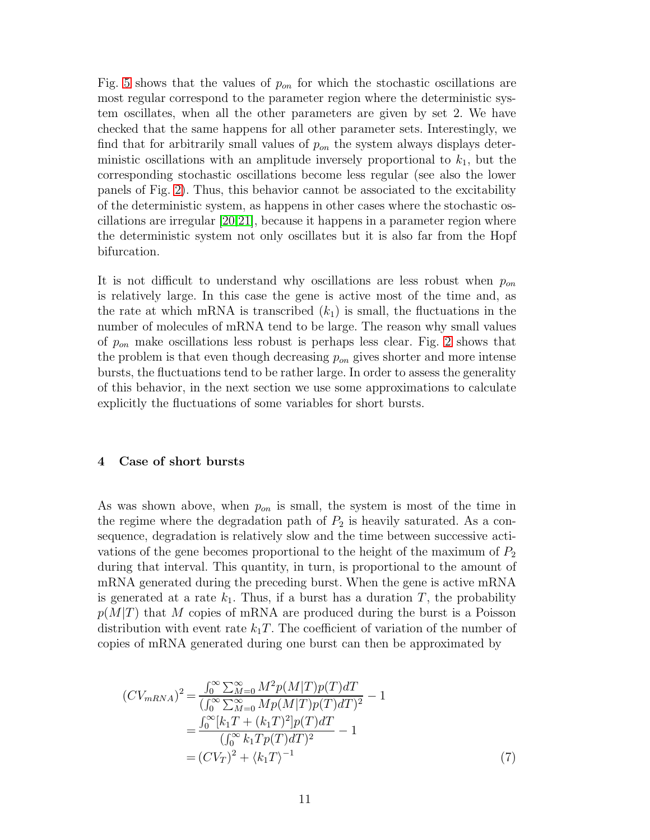Fig. [5](#page-11-0) shows that the values of  $p_{on}$  for which the stochastic oscillations are most regular correspond to the parameter region where the deterministic system oscillates, when all the other parameters are given by set 2. We have checked that the same happens for all other parameter sets. Interestingly, we find that for arbitrarily small values of  $p_{on}$  the system always displays deterministic oscillations with an amplitude inversely proportional to  $k_1$ , but the corresponding stochastic oscillations become less regular (see also the lower panels of Fig. [2\)](#page-7-0). Thus, this behavior cannot be associated to the excitability of the deterministic system, as happens in other cases where the stochastic oscillations are irregular [\[20,](#page-19-5)[21\]](#page-19-6), because it happens in a parameter region where the deterministic system not only oscillates but it is also far from the Hopf bifurcation.

It is not difficult to understand why oscillations are less robust when  $p_{on}$ is relatively large. In this case the gene is active most of the time and, as the rate at which mRNA is transcribed  $(k_1)$  is small, the fluctuations in the number of molecules of mRNA tend to be large. The reason why small values of  $p_{on}$  make oscillations less robust is perhaps less clear. Fig. [2](#page-7-0) shows that the problem is that even though decreasing  $p_{on}$  gives shorter and more intense bursts, the fluctuations tend to be rather large. In order to assess the generality of this behavior, in the next section we use some approximations to calculate explicitly the fluctuations of some variables for short bursts.

#### <span id="page-10-0"></span>4 Case of short bursts

As was shown above, when  $p_{on}$  is small, the system is most of the time in the regime where the degradation path of  $P_2$  is heavily saturated. As a consequence, degradation is relatively slow and the time between successive activations of the gene becomes proportional to the height of the maximum of  $P_2$ during that interval. This quantity, in turn, is proportional to the amount of mRNA generated during the preceding burst. When the gene is active mRNA is generated at a rate  $k_1$ . Thus, if a burst has a duration T, the probability  $p(M|T)$  that M copies of mRNA are produced during the burst is a Poisson distribution with event rate  $k_1T$ . The coefficient of variation of the number of copies of mRNA generated during one burst can then be approximated by

<span id="page-10-1"></span>
$$
(CV_{mRNA})^2 = \frac{\int_0^\infty \sum_{M=0}^\infty M^2 p(M|T) p(T) dT}{(\int_0^\infty \sum_{M=0}^\infty M p(M|T) p(T) dT)^2} - 1
$$
  
= 
$$
\frac{\int_0^\infty [k_1 T + (k_1 T)^2] p(T) dT}{(\int_0^\infty k_1 T p(T) dT)^2} - 1
$$
  
= 
$$
(CV_T)^2 + \langle k_1 T \rangle^{-1}
$$
 (7)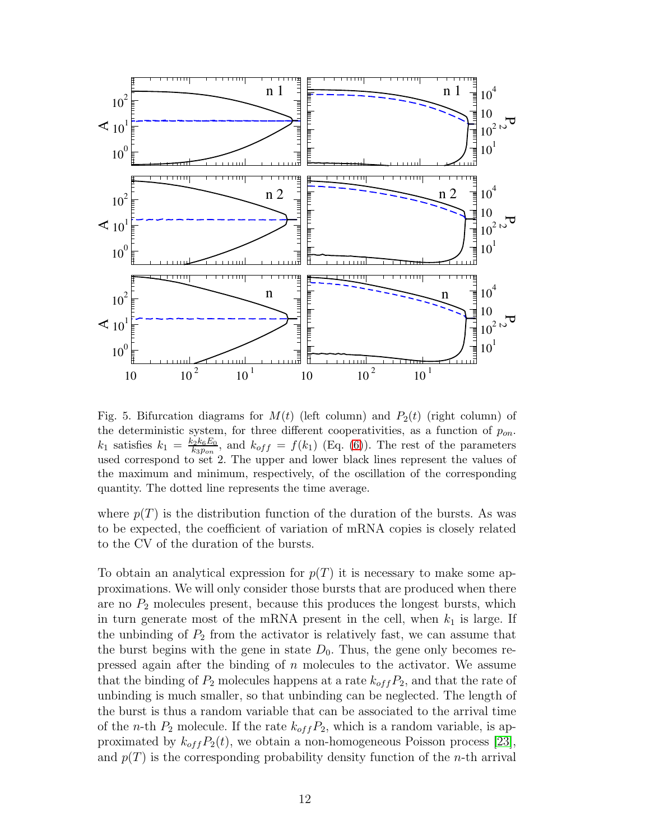

<span id="page-11-0"></span>Fig. 5. Bifurcation diagrams for  $M(t)$  (left column) and  $P_2(t)$  (right column) of the deterministic system, for three different cooperativities, as a function of  $p_{on}$ .  $k_1$  satisfies  $k_1 = \frac{k_2 k_6 E_0}{k_2 n_{\text{max}}}$  $\frac{k_2 k_6 E_0}{k_3 p_{on}}$ , and  $k_{off} = f(k_1)$  (Eq. [\(6\)](#page-5-2)). The rest of the parameters used correspond to set 2. The upper and lower black lines represent the values of the maximum and minimum, respectively, of the oscillation of the corresponding quantity. The dotted line represents the time average.

where  $p(T)$  is the distribution function of the duration of the bursts. As was to be expected, the coefficient of variation of mRNA copies is closely related to the CV of the duration of the bursts.

To obtain an analytical expression for  $p(T)$  it is necessary to make some approximations. We will only consider those bursts that are produced when there are no  $P_2$  molecules present, because this produces the longest bursts, which in turn generate most of the mRNA present in the cell, when  $k_1$  is large. If the unbinding of  $P_2$  from the activator is relatively fast, we can assume that the burst begins with the gene in state  $D_0$ . Thus, the gene only becomes repressed again after the binding of  $n$  molecules to the activator. We assume that the binding of  $P_2$  molecules happens at a rate  $k_{off}P_2$ , and that the rate of unbinding is much smaller, so that unbinding can be neglected. The length of the burst is thus a random variable that can be associated to the arrival time of the *n*-th  $P_2$  molecule. If the rate  $k_{off}P_2$ , which is a random variable, is approximated by  $k_{off}P_2(t)$ , we obtain a non-homogeneous Poisson process [\[23\]](#page-19-7), and  $p(T)$  is the corresponding probability density function of the *n*-th arrival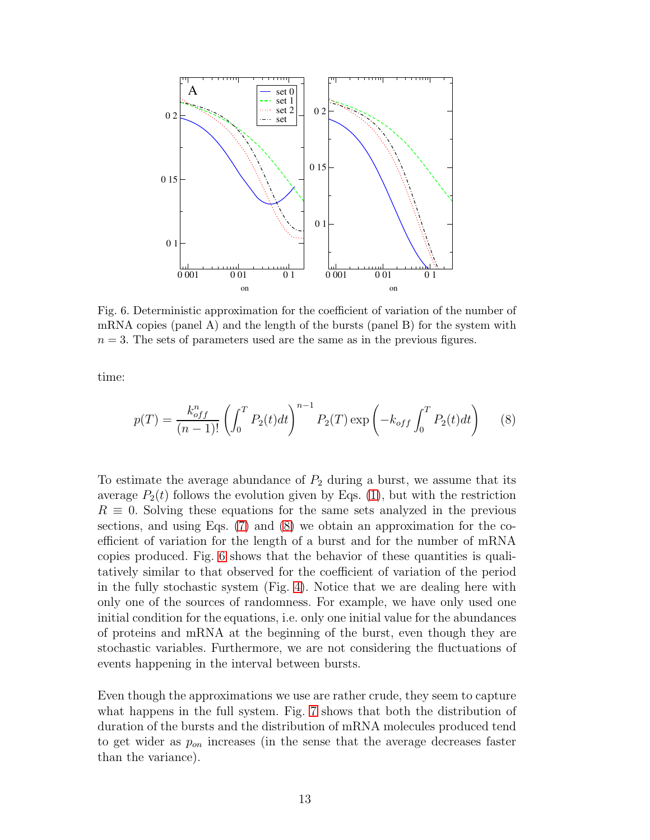

<span id="page-12-1"></span>Fig. 6. Deterministic approximation for the coefficient of variation of the number of mRNA copies (panel A) and the length of the bursts (panel B) for the system with  $n = 3$ . The sets of parameters used are the same as in the previous figures.

time:

<span id="page-12-0"></span>
$$
p(T) = \frac{k_{off}^n}{(n-1)!} \left( \int_0^T P_2(t)dt \right)^{n-1} P_2(T) \exp\left( -k_{off} \int_0^T P_2(t)dt \right) \tag{8}
$$

To estimate the average abundance of  $P_2$  during a burst, we assume that its average  $P_2(t)$  follows the evolution given by Eqs. [\(1\)](#page-3-0), but with the restriction  $R \equiv 0$ . Solving these equations for the same sets analyzed in the previous sections, and using Eqs. [\(7\)](#page-10-1) and [\(8\)](#page-12-0) we obtain an approximation for the coefficient of variation for the length of a burst and for the number of mRNA copies produced. Fig. [6](#page-12-1) shows that the behavior of these quantities is qualitatively similar to that observed for the coefficient of variation of the period in the fully stochastic system (Fig. [4\)](#page-9-0). Notice that we are dealing here with only one of the sources of randomness. For example, we have only used one initial condition for the equations, i.e. only one initial value for the abundances of proteins and mRNA at the beginning of the burst, even though they are stochastic variables. Furthermore, we are not considering the fluctuations of events happening in the interval between bursts.

Even though the approximations we use are rather crude, they seem to capture what happens in the full system. Fig. [7](#page-13-0) shows that both the distribution of duration of the bursts and the distribution of mRNA molecules produced tend to get wider as  $p_{on}$  increases (in the sense that the average decreases faster than the variance).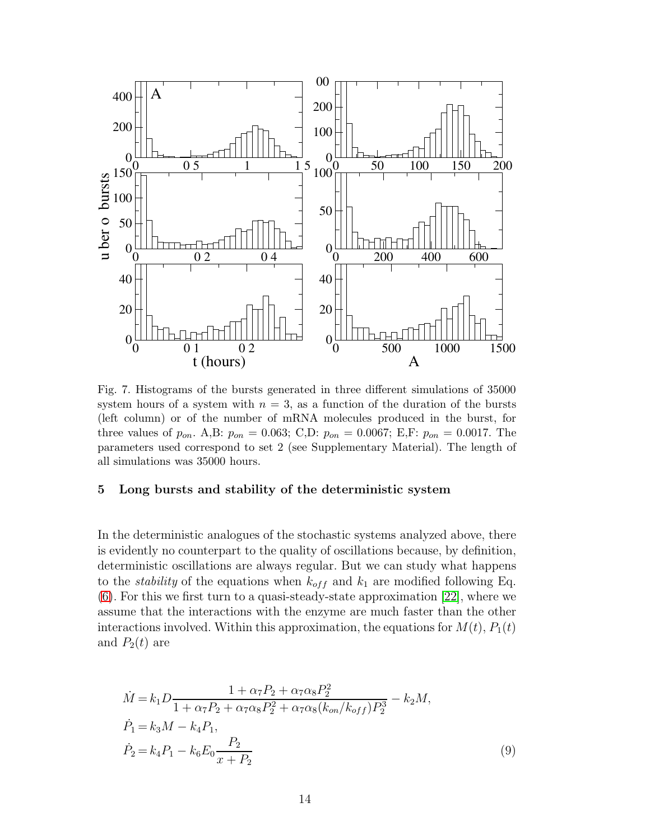

<span id="page-13-0"></span>Fig. 7. Histograms of the bursts generated in three different simulations of 35000 system hours of a system with  $n = 3$ , as a function of the duration of the bursts (left column) or of the number of mRNA molecules produced in the burst, for three values of  $p_{on}$ . A,B:  $p_{on} = 0.063$ ; C,D:  $p_{on} = 0.0067$ ; E,F:  $p_{on} = 0.0017$ . The parameters used correspond to set 2 (see Supplementary Material). The length of all simulations was 35000 hours.

#### 5 Long bursts and stability of the deterministic system

In the deterministic analogues of the stochastic systems analyzed above, there is evidently no counterpart to the quality of oscillations because, by definition, deterministic oscillations are always regular. But we can study what happens to the *stability* of the equations when  $k_{off}$  and  $k_1$  are modified following Eq. [\(6\)](#page-5-2). For this we first turn to a quasi-steady-state approximation [\[22\]](#page-19-8), where we assume that the interactions with the enzyme are much faster than the other interactions involved. Within this approximation, the equations for  $M(t)$ ,  $P_1(t)$ and  $P_2(t)$  are

<span id="page-13-1"></span>
$$
\dot{M} = k_1 D \frac{1 + \alpha_7 P_2 + \alpha_7 \alpha_8 P_2^2}{1 + \alpha_7 P_2 + \alpha_7 \alpha_8 P_2^2 + \alpha_7 \alpha_8 (k_{on}/k_{off}) P_2^3} - k_2 M,
$$
\n
$$
\dot{P}_1 = k_3 M - k_4 P_1,
$$
\n
$$
\dot{P}_2 = k_4 P_1 - k_6 E_0 \frac{P_2}{x + P_2}
$$
\n(9)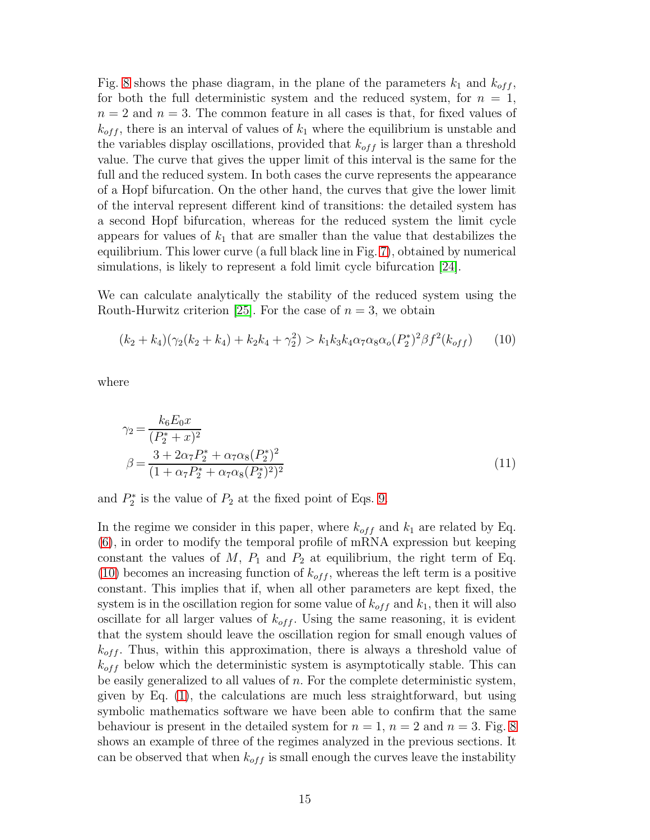Fig. [8](#page-16-0) shows the phase diagram, in the plane of the parameters  $k_1$  and  $k_{off}$ , for both the full deterministic system and the reduced system, for  $n = 1$ ,  $n = 2$  and  $n = 3$ . The common feature in all cases is that, for fixed values of  $k_{off}$ , there is an interval of values of  $k_1$  where the equilibrium is unstable and the variables display oscillations, provided that  $k_{off}$  is larger than a threshold value. The curve that gives the upper limit of this interval is the same for the full and the reduced system. In both cases the curve represents the appearance of a Hopf bifurcation. On the other hand, the curves that give the lower limit of the interval represent different kind of transitions: the detailed system has a second Hopf bifurcation, whereas for the reduced system the limit cycle appears for values of  $k_1$  that are smaller than the value that destabilizes the equilibrium. This lower curve (a full black line in Fig. [7\)](#page-13-0), obtained by numerical simulations, is likely to represent a fold limit cycle bifurcation [\[24\]](#page-19-9).

We can calculate analytically the stability of the reduced system using the Routh-Hurwitz criterion [\[25\]](#page-19-10). For the case of  $n = 3$ , we obtain

<span id="page-14-0"></span>
$$
(k_2 + k_4)(\gamma_2(k_2 + k_4) + k_2k_4 + \gamma_2^2) > k_1k_3k_4\alpha_7\alpha_8\alpha_0(P_2^*)^2\beta f^2(k_{off})
$$
 (10)

where

$$
\gamma_2 = \frac{k_6 E_0 x}{(P_2^* + x)^2}
$$
  

$$
\beta = \frac{3 + 2\alpha_7 P_2^* + \alpha_7 \alpha_8 (P_2^*)^2}{(1 + \alpha_7 P_2^* + \alpha_7 \alpha_8 (P_2^*)^2)^2}
$$
(11)

and  $P_2^*$  $2^*$  is the value of  $P_2$  at the fixed point of Eqs. [9.](#page-13-1)

In the regime we consider in this paper, where  $k_{off}$  and  $k_1$  are related by Eq. [\(6\)](#page-5-2), in order to modify the temporal profile of mRNA expression but keeping constant the values of  $M$ ,  $P_1$  and  $P_2$  at equilibrium, the right term of Eq. [\(10\)](#page-14-0) becomes an increasing function of  $k_{off}$ , whereas the left term is a positive constant. This implies that if, when all other parameters are kept fixed, the system is in the oscillation region for some value of  $k_{off}$  and  $k_1$ , then it will also oscillate for all larger values of  $k_{off}$ . Using the same reasoning, it is evident that the system should leave the oscillation region for small enough values of  $k_{off}$ . Thus, within this approximation, there is always a threshold value of  $k_{off}$  below which the deterministic system is asymptotically stable. This can be easily generalized to all values of n. For the complete deterministic system, given by Eq. [\(1\)](#page-3-0), the calculations are much less straightforward, but using symbolic mathematics software we have been able to confirm that the same behaviour is present in the detailed system for  $n = 1$ ,  $n = 2$  and  $n = 3$ . Fig. [8](#page-16-0) shows an example of three of the regimes analyzed in the previous sections. It can be observed that when  $k_{off}$  is small enough the curves leave the instability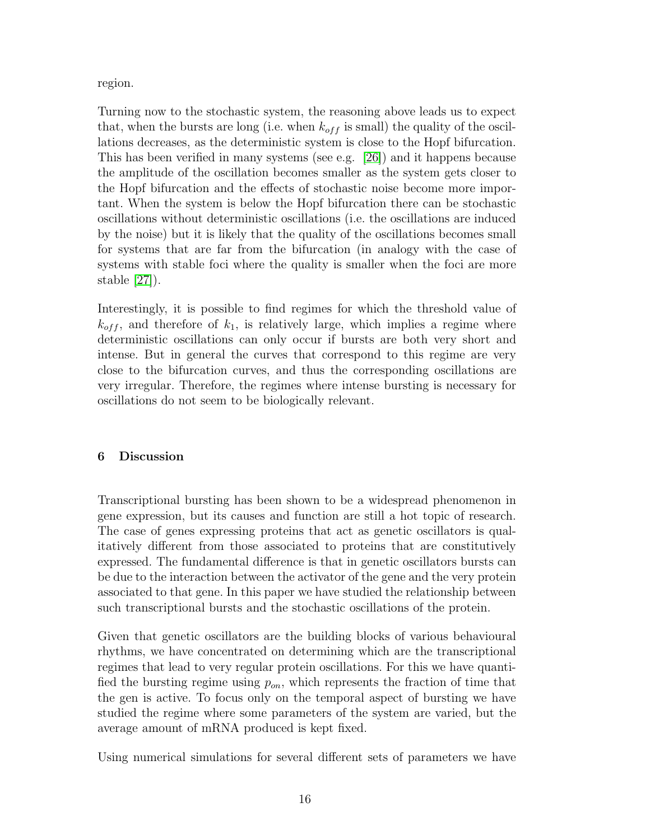region.

Turning now to the stochastic system, the reasoning above leads us to expect that, when the bursts are long (i.e. when  $k_{off}$  is small) the quality of the oscillations decreases, as the deterministic system is close to the Hopf bifurcation. This has been verified in many systems (see e.g. [\[26\]](#page-19-11)) and it happens because the amplitude of the oscillation becomes smaller as the system gets closer to the Hopf bifurcation and the effects of stochastic noise become more important. When the system is below the Hopf bifurcation there can be stochastic oscillations without deterministic oscillations (i.e. the oscillations are induced by the noise) but it is likely that the quality of the oscillations becomes small for systems that are far from the bifurcation (in analogy with the case of systems with stable foci where the quality is smaller when the foci are more stable [\[27\]](#page-19-12)).

Interestingly, it is possible to find regimes for which the threshold value of  $k_{off}$ , and therefore of  $k_1$ , is relatively large, which implies a regime where deterministic oscillations can only occur if bursts are both very short and intense. But in general the curves that correspond to this regime are very close to the bifurcation curves, and thus the corresponding oscillations are very irregular. Therefore, the regimes where intense bursting is necessary for oscillations do not seem to be biologically relevant.

## 6 Discussion

Transcriptional bursting has been shown to be a widespread phenomenon in gene expression, but its causes and function are still a hot topic of research. The case of genes expressing proteins that act as genetic oscillators is qualitatively different from those associated to proteins that are constitutively expressed. The fundamental difference is that in genetic oscillators bursts can be due to the interaction between the activator of the gene and the very protein associated to that gene. In this paper we have studied the relationship between such transcriptional bursts and the stochastic oscillations of the protein.

Given that genetic oscillators are the building blocks of various behavioural rhythms, we have concentrated on determining which are the transcriptional regimes that lead to very regular protein oscillations. For this we have quantified the bursting regime using  $p_{on}$ , which represents the fraction of time that the gen is active. To focus only on the temporal aspect of bursting we have studied the regime where some parameters of the system are varied, but the average amount of mRNA produced is kept fixed.

Using numerical simulations for several different sets of parameters we have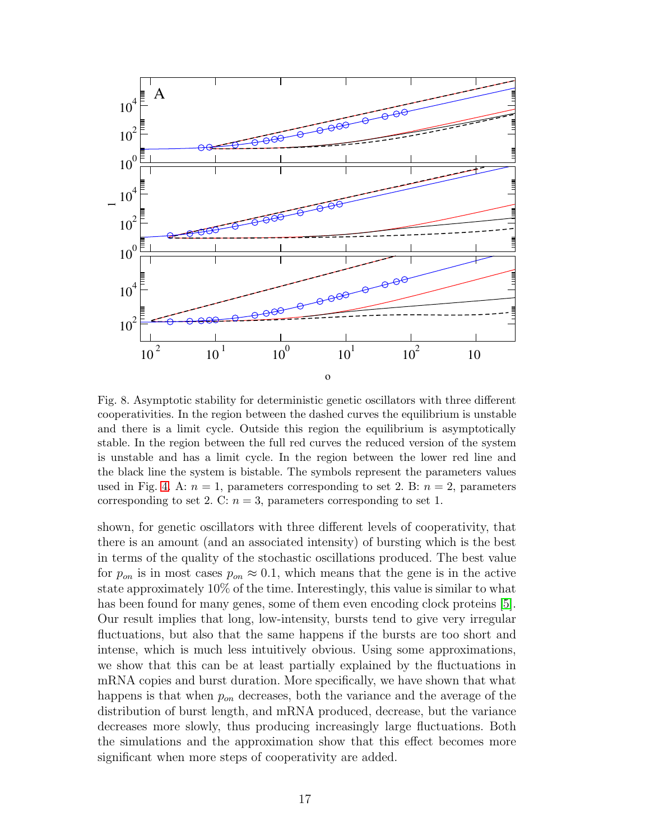

<span id="page-16-0"></span>Fig. 8. Asymptotic stability for deterministic genetic oscillators with three different cooperativities. In the region between the dashed curves the equilibrium is unstable and there is a limit cycle. Outside this region the equilibrium is asymptotically stable. In the region between the full red curves the reduced version of the system is unstable and has a limit cycle. In the region between the lower red line and the black line the system is bistable. The symbols represent the parameters values used in Fig. [4.](#page-9-0) A:  $n = 1$ , parameters corresponding to set 2. B:  $n = 2$ , parameters corresponding to set 2. C:  $n = 3$ , parameters corresponding to set 1.

shown, for genetic oscillators with three different levels of cooperativity, that there is an amount (and an associated intensity) of bursting which is the best in terms of the quality of the stochastic oscillations produced. The best value for  $p_{on}$  is in most cases  $p_{on} \approx 0.1$ , which means that the gene is in the active state approximately 10% of the time. Interestingly, this value is similar to what has been found for many genes, some of them even encoding clock proteins [\[5\]](#page-18-4). Our result implies that long, low-intensity, bursts tend to give very irregular fluctuations, but also that the same happens if the bursts are too short and intense, which is much less intuitively obvious. Using some approximations, we show that this can be at least partially explained by the fluctuations in mRNA copies and burst duration. More specifically, we have shown that what happens is that when  $p_{on}$  decreases, both the variance and the average of the distribution of burst length, and mRNA produced, decrease, but the variance decreases more slowly, thus producing increasingly large fluctuations. Both the simulations and the approximation show that this effect becomes more significant when more steps of cooperativity are added.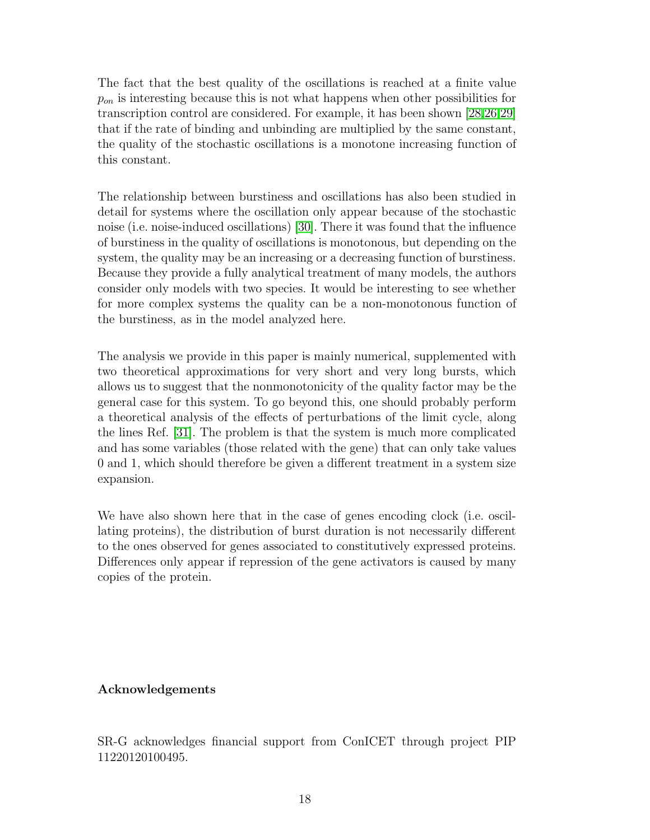The fact that the best quality of the oscillations is reached at a finite value  $p_{on}$  is interesting because this is not what happens when other possibilities for transcription control are considered. For example, it has been shown [\[28](#page-19-13)[,26](#page-19-11)[,29\]](#page-19-14) that if the rate of binding and unbinding are multiplied by the same constant, the quality of the stochastic oscillations is a monotone increasing function of this constant.

The relationship between burstiness and oscillations has also been studied in detail for systems where the oscillation only appear because of the stochastic noise (i.e. noise-induced oscillations) [\[30\]](#page-19-15). There it was found that the influence of burstiness in the quality of oscillations is monotonous, but depending on the system, the quality may be an increasing or a decreasing function of burstiness. Because they provide a fully analytical treatment of many models, the authors consider only models with two species. It would be interesting to see whether for more complex systems the quality can be a non-monotonous function of the burstiness, as in the model analyzed here.

The analysis we provide in this paper is mainly numerical, supplemented with two theoretical approximations for very short and very long bursts, which allows us to suggest that the nonmonotonicity of the quality factor may be the general case for this system. To go beyond this, one should probably perform a theoretical analysis of the effects of perturbations of the limit cycle, along the lines Ref. [\[31\]](#page-19-16). The problem is that the system is much more complicated and has some variables (those related with the gene) that can only take values 0 and 1, which should therefore be given a different treatment in a system size expansion.

We have also shown here that in the case of genes encoding clock (i.e. oscillating proteins), the distribution of burst duration is not necessarily different to the ones observed for genes associated to constitutively expressed proteins. Differences only appear if repression of the gene activators is caused by many copies of the protein.

## Acknowledgements

SR-G acknowledges financial support from ConICET through project PIP 11220120100495.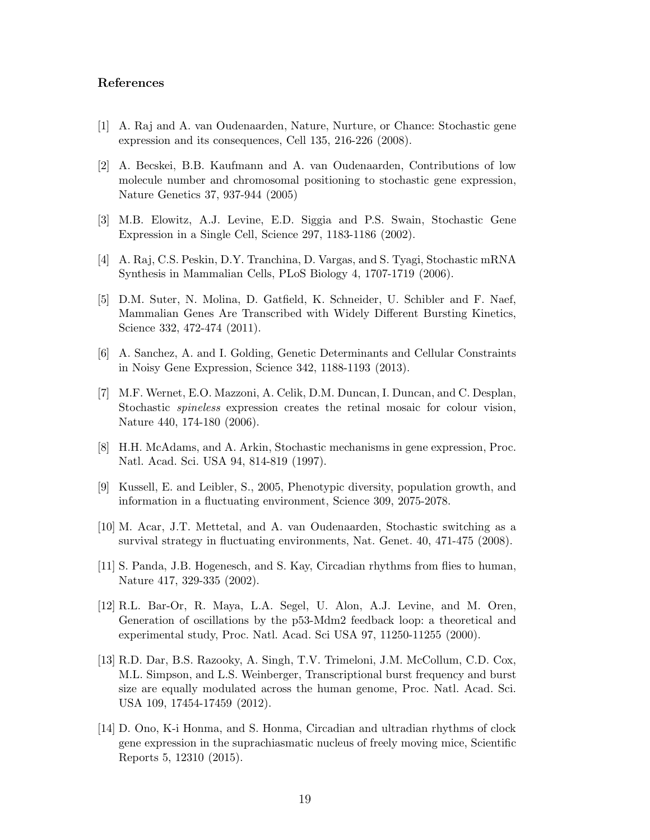## <span id="page-18-0"></span>References

- <span id="page-18-1"></span>[1] A. Raj and A. van Oudenaarden, Nature, Nurture, or Chance: Stochastic gene expression and its consequences, Cell 135, 216-226 (2008).
- [2] A. Becskei, B.B. Kaufmann and A. van Oudenaarden, Contributions of low molecule number and chromosomal positioning to stochastic gene expression, Nature Genetics 37, 937-944 (2005)
- <span id="page-18-3"></span><span id="page-18-2"></span>[3] M.B. Elowitz, A.J. Levine, E.D. Siggia and P.S. Swain, Stochastic Gene Expression in a Single Cell, Science 297, 1183-1186 (2002).
- <span id="page-18-4"></span>[4] A. Raj, C.S. Peskin, D.Y. Tranchina, D. Vargas, and S. Tyagi, Stochastic mRNA Synthesis in Mammalian Cells, PLoS Biology 4, 1707-1719 (2006).
- [5] D.M. Suter, N. Molina, D. Gatfield, K. Schneider, U. Schibler and F. Naef, Mammalian Genes Are Transcribed with Widely Different Bursting Kinetics, Science 332, 472-474 (2011).
- <span id="page-18-6"></span><span id="page-18-5"></span>[6] A. Sanchez, A. and I. Golding, Genetic Determinants and Cellular Constraints in Noisy Gene Expression, Science 342, 1188-1193 (2013).
- [7] M.F. Wernet, E.O. Mazzoni, A. Celik, D.M. Duncan, I. Duncan, and C. Desplan, Stochastic *spineless* expression creates the retinal mosaic for colour vision, Nature 440, 174-180 (2006).
- <span id="page-18-8"></span><span id="page-18-7"></span>[8] H.H. McAdams, and A. Arkin, Stochastic mechanisms in gene expression, Proc. Natl. Acad. Sci. USA 94, 814-819 (1997).
- <span id="page-18-9"></span>[9] Kussell, E. and Leibler, S., 2005, Phenotypic diversity, population growth, and information in a fluctuating environment, Science 309, 2075-2078.
- <span id="page-18-10"></span>[10] M. Acar, J.T. Mettetal, and A. van Oudenaarden, Stochastic switching as a survival strategy in fluctuating environments, Nat. Genet. 40, 471-475 (2008).
- [11] S. Panda, J.B. Hogenesch, and S. Kay, Circadian rhythms from flies to human, Nature 417, 329-335 (2002).
- <span id="page-18-11"></span>[12] R.L. Bar-Or, R. Maya, L.A. Segel, U. Alon, A.J. Levine, and M. Oren, Generation of oscillations by the p53-Mdm2 feedback loop: a theoretical and experimental study, Proc. Natl. Acad. Sci USA 97, 11250-11255 (2000).
- <span id="page-18-12"></span>[13] R.D. Dar, B.S. Razooky, A. Singh, T.V. Trimeloni, J.M. McCollum, C.D. Cox, M.L. Simpson, and L.S. Weinberger, Transcriptional burst frequency and burst size are equally modulated across the human genome, Proc. Natl. Acad. Sci. USA 109, 17454-17459 (2012).
- <span id="page-18-13"></span>[14] D. Ono, K-i Honma, and S. Honma, Circadian and ultradian rhythms of clock gene expression in the suprachiasmatic nucleus of freely moving mice, Scientific Reports 5, 12310 (2015).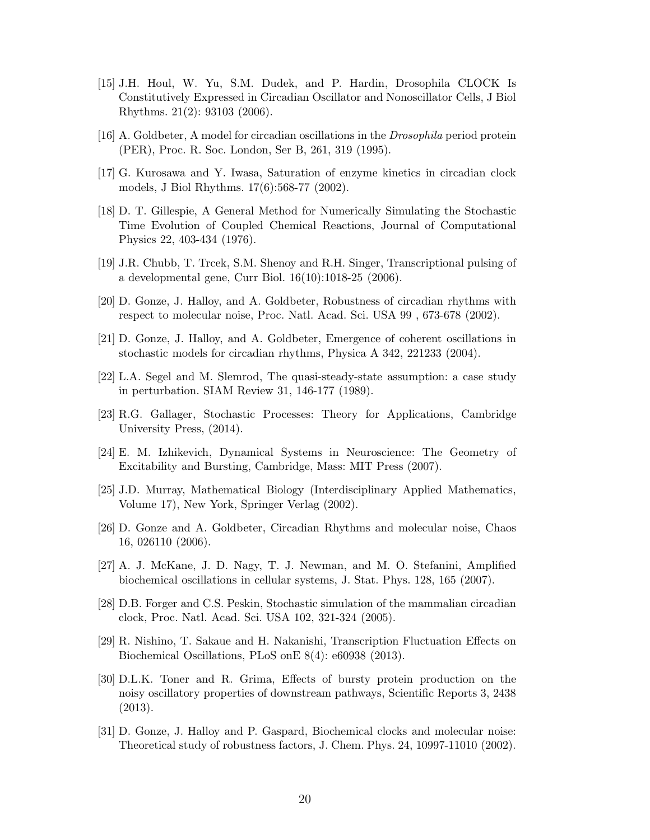- <span id="page-19-0"></span>[15] J.H. Houl, W. Yu, S.M. Dudek, and P. Hardin, Drosophila CLOCK Is Constitutively Expressed in Circadian Oscillator and Nonoscillator Cells, J Biol Rhythms. 21(2): 93103 (2006).
- <span id="page-19-2"></span><span id="page-19-1"></span>[16] A. Goldbeter, A model for circadian oscillations in the *Drosophila* period protein (PER), Proc. R. Soc. London, Ser B, 261, 319 (1995).
- <span id="page-19-3"></span>[17] G. Kurosawa and Y. Iwasa, Saturation of enzyme kinetics in circadian clock models, J Biol Rhythms. 17(6):568-77 (2002).
- [18] D. T. Gillespie, A General Method for Numerically Simulating the Stochastic Time Evolution of Coupled Chemical Reactions, Journal of Computational Physics 22, 403-434 (1976).
- <span id="page-19-5"></span><span id="page-19-4"></span>[19] J.R. Chubb, T. Trcek, S.M. Shenoy and R.H. Singer, Transcriptional pulsing of a developmental gene, Curr Biol. 16(10):1018-25 (2006).
- <span id="page-19-6"></span>[20] D. Gonze, J. Halloy, and A. Goldbeter, Robustness of circadian rhythms with respect to molecular noise, Proc. Natl. Acad. Sci. USA 99 , 673-678 (2002).
- <span id="page-19-8"></span>[21] D. Gonze, J. Halloy, and A. Goldbeter, Emergence of coherent oscillations in stochastic models for circadian rhythms, Physica A 342, 221233 (2004).
- [22] L.A. Segel and M. Slemrod, The quasi-steady-state assumption: a case study in perturbation. SIAM Review 31, 146-177 (1989).
- <span id="page-19-9"></span><span id="page-19-7"></span>[23] R.G. Gallager, Stochastic Processes: Theory for Applications, Cambridge University Press, (2014).
- [24] E. M. Izhikevich, Dynamical Systems in Neuroscience: The Geometry of Excitability and Bursting, Cambridge, Mass: MIT Press (2007).
- <span id="page-19-10"></span>[25] J.D. Murray, Mathematical Biology (Interdisciplinary Applied Mathematics, Volume 17), New York, Springer Verlag (2002).
- <span id="page-19-11"></span>[26] D. Gonze and A. Goldbeter, Circadian Rhythms and molecular noise, Chaos 16, 026110 (2006).
- <span id="page-19-13"></span><span id="page-19-12"></span>[27] A. J. McKane, J. D. Nagy, T. J. Newman, and M. O. Stefanini, Amplified biochemical oscillations in cellular systems, J. Stat. Phys. 128, 165 (2007).
- [28] D.B. Forger and C.S. Peskin, Stochastic simulation of the mammalian circadian clock, Proc. Natl. Acad. Sci. USA 102, 321-324 (2005).
- <span id="page-19-14"></span>[29] R. Nishino, T. Sakaue and H. Nakanishi, Transcription Fluctuation Effects on Biochemical Oscillations, PLoS onE 8(4): e60938 (2013).
- <span id="page-19-15"></span>[30] D.L.K. Toner and R. Grima, Effects of bursty protein production on the noisy oscillatory properties of downstream pathways, Scientific Reports 3, 2438 (2013).
- <span id="page-19-16"></span>[31] D. Gonze, J. Halloy and P. Gaspard, Biochemical clocks and molecular noise: Theoretical study of robustness factors, J. Chem. Phys. 24, 10997-11010 (2002).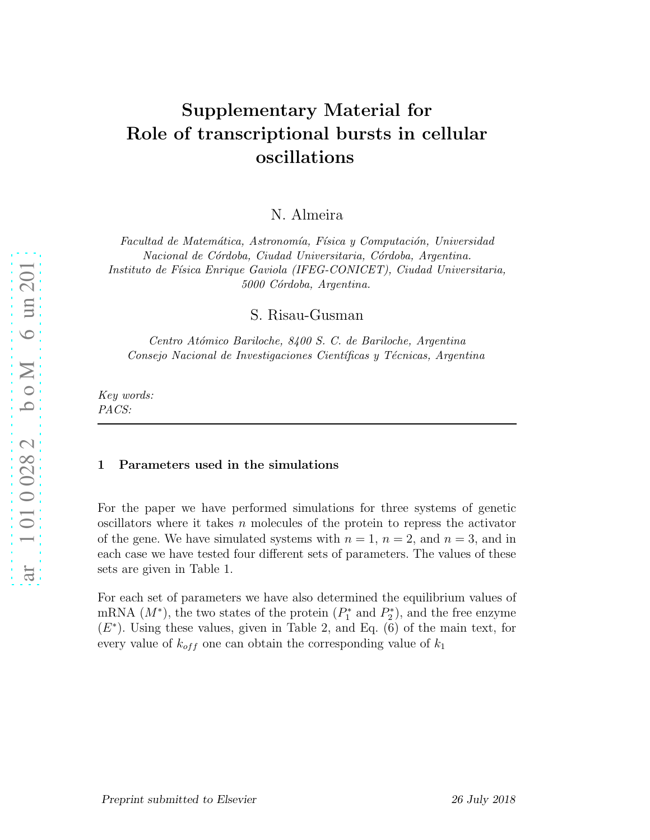# Supplementary Material for Role of transcriptional bursts in cellular oscillations

N. Almeira

Facultad de Matemática, Astronomía, Física y Computación, Universidad *Nacional de C´ordoba, Ciudad Universitaria, C´ordoba, Argentina. Instituto de F´ısica Enrique Gaviola (IFEG-CONICET), Ciudad Universitaria, 5000 C´ordoba, Argentina.*

S. Risau-Gusman

*Centro At´omico Bariloche, 8400 S. C. de Bariloche, Argentina Consejo Nacional de Investigaciones Cient´ıficas y T´ecnicas, Argentina*

*Key words: PACS:*

#### 1 Parameters used in the simulations

For the paper we have performed simulations for three systems of genetic oscillators where it takes n molecules of the protein to repress the activator of the gene. We have simulated systems with  $n = 1$ ,  $n = 2$ , and  $n = 3$ , and in each case we have tested four different sets of parameters. The values of these sets are given in Table 1.

For each set of parameters we have also determined the equilibrium values of mRNA  $(M^*)$ , the two states of the protein  $(P_1^*)$  $P_1^*$  and  $P_2^*$  $2^*$ , and the free enzyme  $(E^*)$ . Using these values, given in Table 2, and Eq.  $(6)$  of the main text, for every value of  $k_{off}$  one can obtain the corresponding value of  $k_1$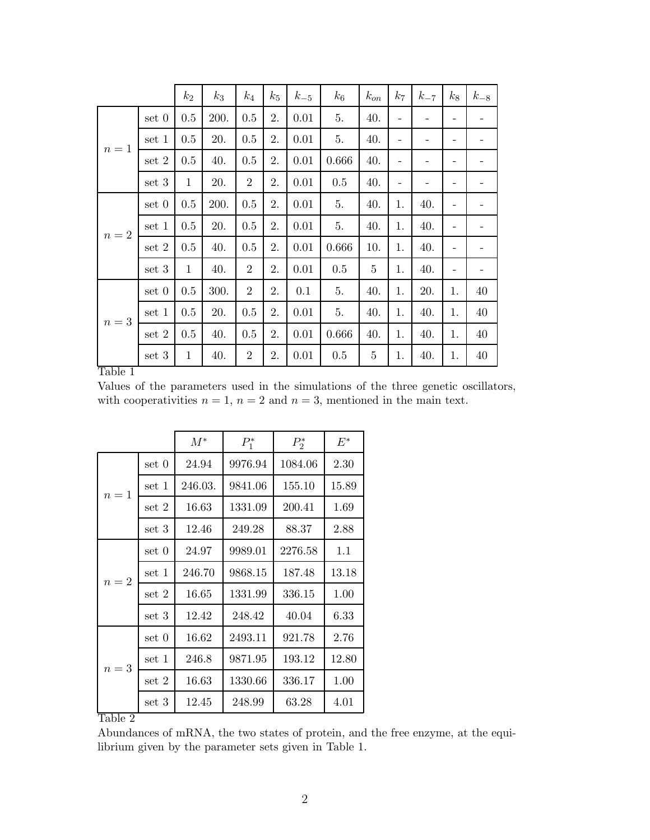|              |           | $k_2$        | $k_3$ | $k_4$          | $k_5$ | $k_{-5}$ | $k_6$ | $k_{on}$ | k <sub>7</sub>           | $k_{-7}$ | $k_8$ | $k_{-8}$ |
|--------------|-----------|--------------|-------|----------------|-------|----------|-------|----------|--------------------------|----------|-------|----------|
| $n=1$        | set 0     | 0.5          | 200.  | 0.5            | 2.    | 0.01     | 5.    | 40.      | -                        | -        | -     |          |
|              | set 1     | 0.5          | 20.   | $0.5\,$        | 2.    | 0.01     | 5.    | 40.      |                          |          |       |          |
|              | set $2\,$ | 0.5          | 40.   | 0.5            | 2.    | 0.01     | 0.666 | 40.      | -                        | -        | -     |          |
|              | set 3     | $\mathbf{1}$ | 20.   | $\overline{2}$ | 2.    | 0.01     | 0.5   | 40.      | $\overline{\phantom{a}}$ | -        | -     | -        |
| $\sqrt{n}=2$ | set 0     | 0.5          | 200.  | 0.5            | 2.    | 0.01     | 5.    | 40.      | 1.                       | 40.      | -     | -        |
|              | set 1     | 0.5          | 20.   | 0.5            | 2.    | 0.01     | 5.    | 40.      | 1.                       | 40.      | -     |          |
|              | set 2     | 0.5          | 40.   | 0.5            | 2.    | 0.01     | 0.666 | 10.      | 1.                       | 40.      | -     |          |
|              | set 3     | $\mathbf{1}$ | 40.   | $\overline{2}$ | 2.    | 0.01     | 0.5   | $\bf 5$  | 1.                       | 40.      | -     |          |
| $\sqrt{n}=3$ | set 0     | 0.5          | 300.  | $\overline{2}$ | 2.    | 0.1      | 5.    | 40.      | 1.                       | 20.      | 1.    | $40\,$   |
|              | set 1     | 0.5          | 20.   | 0.5            | 2.    | 0.01     | 5.    | 40.      | 1.                       | 40.      | 1.    | $40\,$   |
|              | set 2     | 0.5          | 40.   | 0.5            | 2.    | 0.01     | 0.666 | 40.      | 1.                       | 40.      | 1.    | 40       |
|              | set 3     | $\mathbf{1}$ | 40.   | $\overline{2}$ | 2.    | 0.01     | 0.5   | $\bf 5$  | 1.                       | 40.      | 1.    | 40       |

## Table 1

Values of the parameters used in the simulations of the three genetic oscillators, with cooperativities  $n = 1$ ,  $n = 2$  and  $n = 3$ , mentioned in the main text.

|         |       | $M^*$   | $P_1^*$ | $P_2^*$ | $E^*$ |
|---------|-------|---------|---------|---------|-------|
|         | set 0 | 24.94   | 9976.94 | 1084.06 | 2.30  |
| $n=1$   | set 1 | 246.03. | 9841.06 | 155.10  | 15.89 |
|         | set 2 | 16.63   | 1331.09 | 200.41  | 1.69  |
|         | set 3 | 12.46   | 249.28  | 88.37   | 2.88  |
|         | set 0 | 24.97   | 9989.01 | 2276.58 | 1.1   |
| $n=2$   | set 1 | 246.70  | 9868.15 | 187.48  | 13.18 |
|         | set 2 | 16.65   | 1331.99 | 336.15  | 1.00  |
|         | set 3 | 12.42   | 248.42  | 40.04   | 6.33  |
|         | set 0 | 16.62   | 2493.11 | 921.78  | 2.76  |
| $n=3$   | set 1 | 246.8   | 9871.95 | 193.12  | 12.80 |
|         | set 2 | 16.63   | 1330.66 | 336.17  | 1.00  |
|         | set 3 | 12.45   | 248.99  | 63.28   | 4.01  |
| Table 2 |       |         |         |         |       |

Abundances of mRNA, the two states of protein, and the free enzyme, at the equilibrium given by the parameter sets given in Table 1.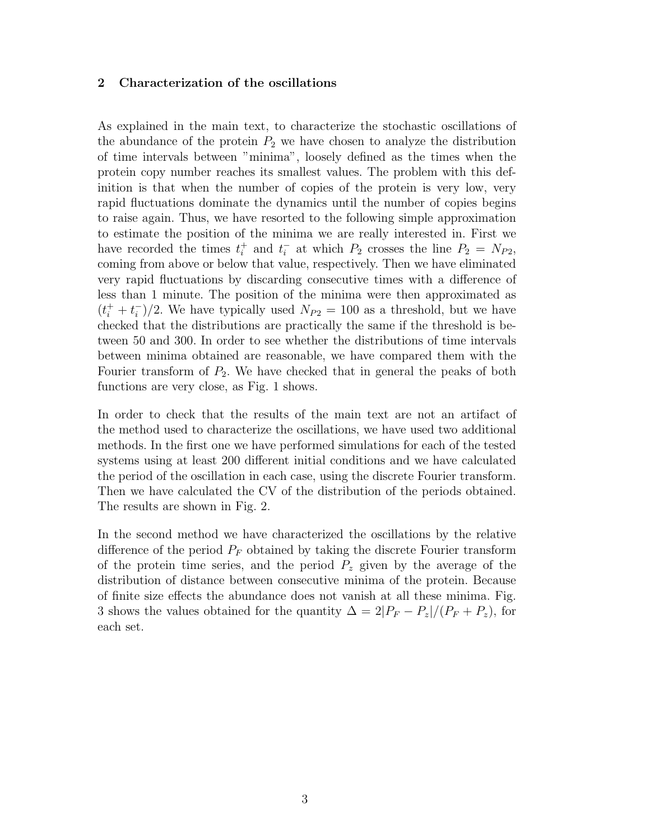## <span id="page-22-0"></span>2 Characterization of the oscillations

As explained in the main text, to characterize the stochastic oscillations of the abundance of the protein  $P_2$  we have chosen to analyze the distribution of time intervals between "minima", loosely defined as the times when the protein copy number reaches its smallest values. The problem with this definition is that when the number of copies of the protein is very low, very rapid fluctuations dominate the dynamics until the number of copies begins to raise again. Thus, we have resorted to the following simple approximation to estimate the position of the minima we are really interested in. First we have recorded the times  $t_i^+$  and  $t_i^-$  at which  $P_2$  crosses the line  $P_2 = N_{P2}$ , coming from above or below that value, respectively. Then we have eliminated very rapid fluctuations by discarding consecutive times with a difference of less than 1 minute. The position of the minima were then approximated as  $(t_i^+ + t_i^-)$  $\binom{1}{i}/2$ . We have typically used  $N_{P2} = 100$  as a threshold, but we have checked that the distributions are practically the same if the threshold is between 50 and 300. In order to see whether the distributions of time intervals between minima obtained are reasonable, we have compared them with the Fourier transform of  $P_2$ . We have checked that in general the peaks of both functions are very close, as Fig. 1 shows.

In order to check that the results of the main text are not an artifact of the method used to characterize the oscillations, we have used two additional methods. In the first one we have performed simulations for each of the tested systems using at least 200 different initial conditions and we have calculated the period of the oscillation in each case, using the discrete Fourier transform. Then we have calculated the CV of the distribution of the periods obtained. The results are shown in Fig. 2.

In the second method we have characterized the oscillations by the relative difference of the period  $P_F$  obtained by taking the discrete Fourier transform of the protein time series, and the period  $P<sub>z</sub>$  given by the average of the distribution of distance between consecutive minima of the protein. Because of finite size effects the abundance does not vanish at all these minima. Fig. 3 shows the values obtained for the quantity  $\Delta = 2|P_F - P_z|/(P_F + P_z)$ , for each set.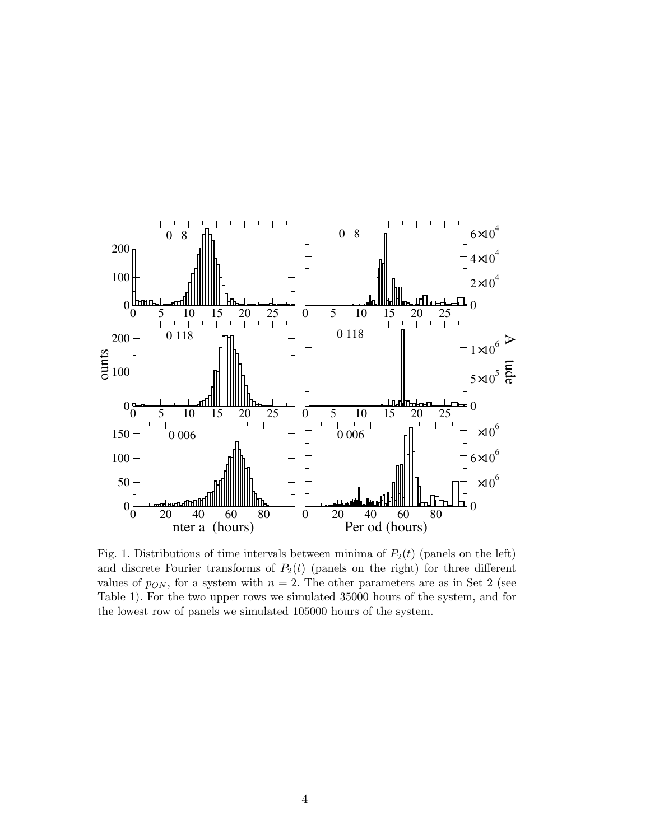

Fig. 1. Distributions of time intervals between minima of  $P_2(t)$  (panels on the left) and discrete Fourier transforms of  $P_2(t)$  (panels on the right) for three different values of  $p_{ON}$ , for a system with  $n = 2$ . The other parameters are as in Set 2 (see Table 1). For the two upper rows we simulated 35000 hours of the system, and for the lowest row of panels we simulated 105000 hours of the system.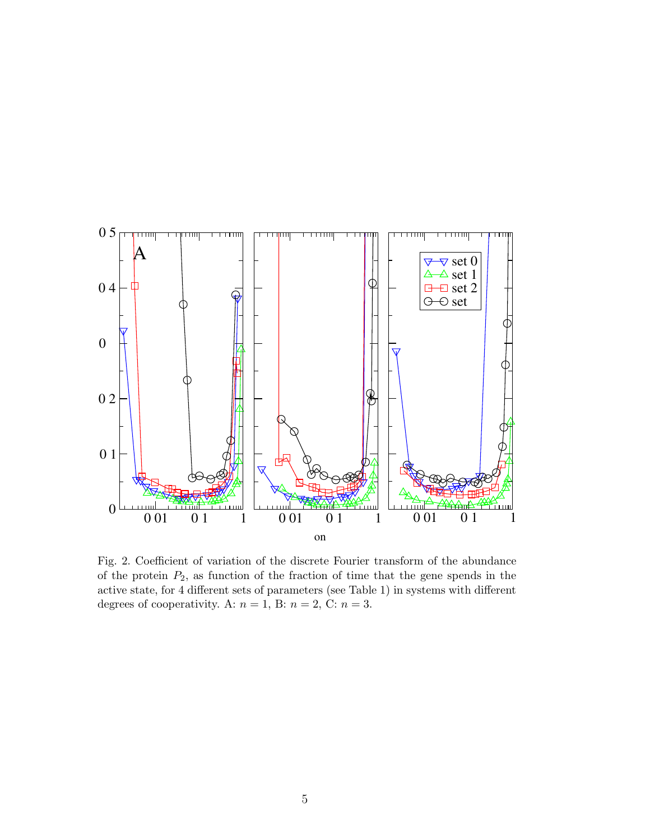

Fig. 2. Coefficient of variation of the discrete Fourier transform of the abundance of the protein  $P_2$ , as function of the fraction of time that the gene spends in the active state, for 4 different sets of parameters (see Table 1) in systems with different degrees of cooperativity. A:  $n = 1$ , B:  $n = 2$ , C:  $n = 3$ .